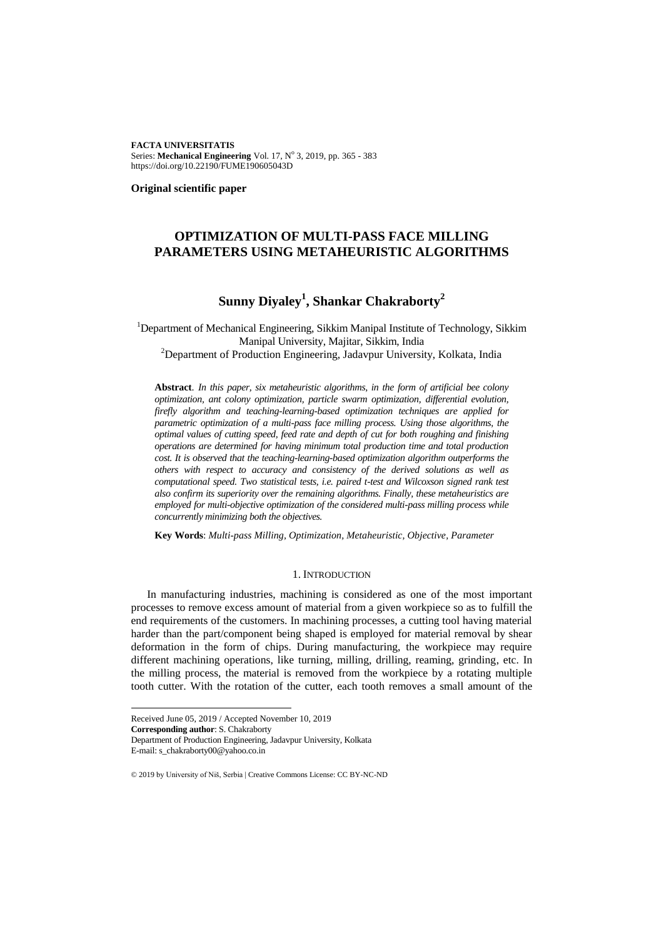**FACTA UNIVERSITATIS** Series: Mechanical Engineering Vol. 17, Nº 3, 2019, pp. 365 - 383 https://doi.org/10.22190/FUME190605043D

**Original scientific paper**

# **OPTIMIZATION OF MULTI-PASS FACE MILLING PARAMETERS USING METAHEURISTIC ALGORITHMS**

# **Sunny Diyaley<sup>1</sup> , Shankar Chakraborty<sup>2</sup>**

<sup>1</sup>Department of Mechanical Engineering, Sikkim Manipal Institute of Technology, Sikkim Manipal University, Majitar, Sikkim, India

<sup>2</sup>Department of Production Engineering, Jadavpur University, Kolkata, India

**Abstract**. *In this paper, six metaheuristic algorithms, in the form of artificial bee colony optimization, ant colony optimization, particle swarm optimization, differential evolution, firefly algorithm and teaching-learning-based optimization techniques are applied for parametric optimization of a multi-pass face milling process. Using those algorithms, the optimal values of cutting speed, feed rate and depth of cut for both roughing and finishing operations are determined for having minimum total production time and total production cost. It is observed that the teaching-learning-based optimization algorithm outperforms the others with respect to accuracy and consistency of the derived solutions as well as computational speed. Two statistical tests, i.e. paired t-test and Wilcoxson signed rank test also confirm its superiority over the remaining algorithms. Finally, these metaheuristics are employed for multi-objective optimization of the considered multi-pass milling process while concurrently minimizing both the objectives.* 

**Key Words**: *Multi-pass Milling, Optimization, Metaheuristic, Objective, Parameter*

### 1. INTRODUCTION

In manufacturing industries, machining is considered as one of the most important processes to remove excess amount of material from a given workpiece so as to fulfill the end requirements of the customers. In machining processes, a cutting tool having material harder than the part/component being shaped is employed for material removal by shear deformation in the form of chips. During manufacturing, the workpiece may require different machining operations, like turning, milling, drilling, reaming, grinding, etc. In the milling process, the material is removed from the workpiece by a rotating multiple tooth cutter. With the rotation of the cutter, each tooth removes a small amount of the

E-mail: s\_chakraborty00@yahoo.co.in

l

© 2019 by University of Niš, Serbia | Creative Commons License: CC BY-NC-ND

Received June 05, 2019 / Accepted November 10, 2019

**Corresponding author**: S. Chakraborty

Department of Production Engineering, Jadavpur University, Kolkata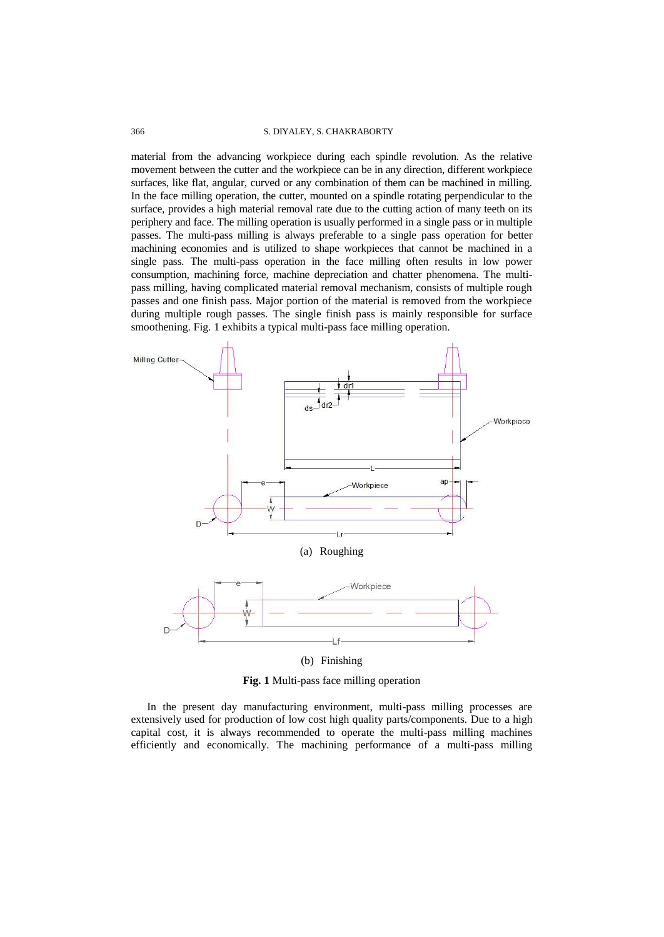### 366 S. DIYALEY, S. CHAKRABORTY

material from the advancing workpiece during each spindle revolution. As the relative movement between the cutter and the workpiece can be in any direction, different workpiece surfaces, like flat, angular, curved or any combination of them can be machined in milling. In the face milling operation, the cutter, mounted on a spindle rotating perpendicular to the surface, provides a high material removal rate due to the cutting action of many teeth on its periphery and face. The milling operation is usually performed in a single pass or in multiple passes. The multi-pass milling is always preferable to a single pass operation for better machining economies and is utilized to shape workpieces that cannot be machined in a single pass. The multi-pass operation in the face milling often results in low power consumption, machining force, machine depreciation and chatter phenomena. The multipass milling, having complicated material removal mechanism, consists of multiple rough passes and one finish pass. Major portion of the material is removed from the workpiece during multiple rough passes. The single finish pass is mainly responsible for surface smoothening. Fig. 1 exhibits a typical multi-pass face milling operation.



**Fig. 1** Multi-pass face milling operation

In the present day manufacturing environment, multi-pass milling processes are extensively used for production of low cost high quality parts/components. Due to a high capital cost, it is always recommended to operate the multi-pass milling machines efficiently and economically. The machining performance of a multi-pass milling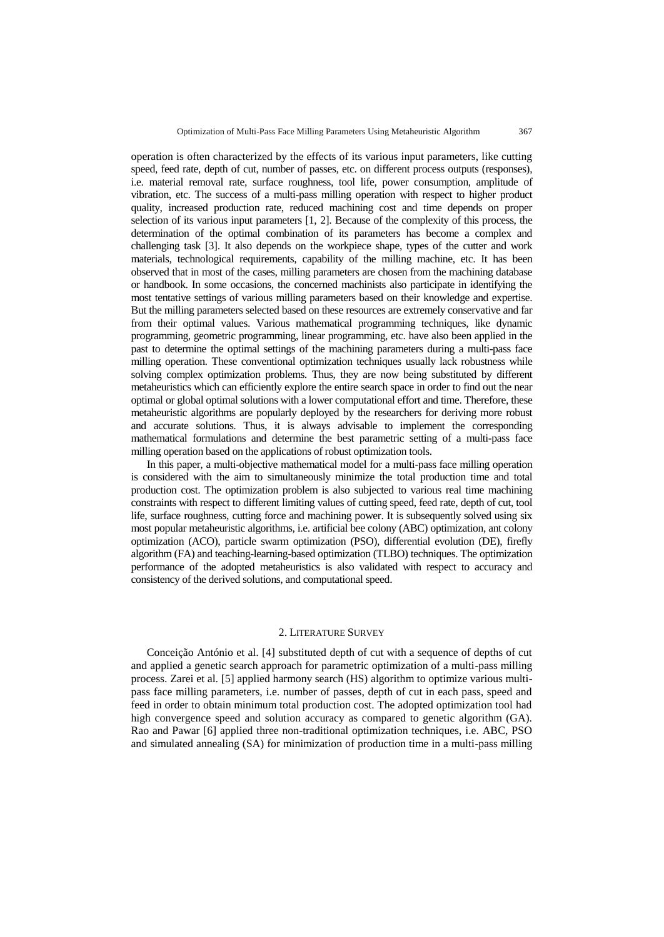operation is often characterized by the effects of its various input parameters, like cutting speed, feed rate, depth of cut, number of passes, etc. on different process outputs (responses), i.e. material removal rate, surface roughness, tool life, power consumption, amplitude of vibration, etc. The success of a multi-pass milling operation with respect to higher product quality, increased production rate, reduced machining cost and time depends on proper selection of its various input parameters [1, 2]. Because of the complexity of this process, the determination of the optimal combination of its parameters has become a complex and challenging task [3]. It also depends on the workpiece shape, types of the cutter and work materials, technological requirements, capability of the milling machine, etc. It has been observed that in most of the cases, milling parameters are chosen from the machining database or handbook. In some occasions, the concerned machinists also participate in identifying the most tentative settings of various milling parameters based on their knowledge and expertise. But the milling parameters selected based on these resources are extremely conservative and far from their optimal values. Various mathematical programming techniques, like dynamic programming, geometric programming, linear programming, etc. have also been applied in the past to determine the optimal settings of the machining parameters during a multi-pass face milling operation. These conventional optimization techniques usually lack robustness while solving complex optimization problems. Thus, they are now being substituted by different metaheuristics which can efficiently explore the entire search space in order to find out the near optimal or global optimal solutions with a lower computational effort and time. Therefore, these metaheuristic algorithms are popularly deployed by the researchers for deriving more robust and accurate solutions. Thus, it is always advisable to implement the corresponding mathematical formulations and determine the best parametric setting of a multi-pass face milling operation based on the applications of robust optimization tools.

In this paper, a multi-objective mathematical model for a multi-pass face milling operation is considered with the aim to simultaneously minimize the total production time and total production cost. The optimization problem is also subjected to various real time machining constraints with respect to different limiting values of cutting speed, feed rate, depth of cut, tool life, surface roughness, cutting force and machining power. It is subsequently solved using six most popular metaheuristic algorithms, i.e. artificial bee colony (ABC) optimization, ant colony optimization (ACO), particle swarm optimization (PSO), differential evolution (DE), firefly algorithm (FA) and teaching-learning-based optimization (TLBO) techniques. The optimization performance of the adopted metaheuristics is also validated with respect to accuracy and consistency of the derived solutions, and computational speed.

### 2. LITERATURE SURVEY

Conceição António et al. [4] substituted depth of cut with a sequence of depths of cut and applied a genetic search approach for parametric optimization of a multi-pass milling process. Zarei et al. [5] applied harmony search (HS) algorithm to optimize various multipass face milling parameters, i.e. number of passes, depth of cut in each pass, speed and feed in order to obtain minimum total production cost. The adopted optimization tool had high convergence speed and solution accuracy as compared to genetic algorithm (GA). Rao and Pawar [6] applied three non-traditional optimization techniques, i.e. ABC, PSO and simulated annealing (SA) for minimization of production time in a multi-pass milling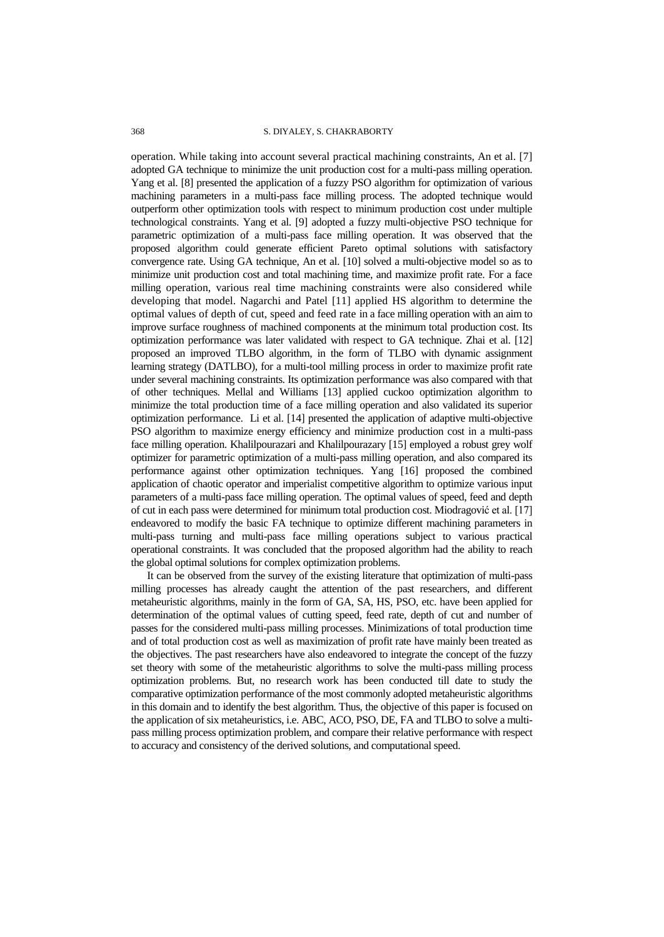operation. While taking into account several practical machining constraints, An et al. [7] adopted GA technique to minimize the unit production cost for a multi-pass milling operation. Yang et al. [8] presented the application of a fuzzy PSO algorithm for optimization of various machining parameters in a multi-pass face milling process. The adopted technique would outperform other optimization tools with respect to minimum production cost under multiple technological constraints. Yang et al. [9] adopted a fuzzy multi-objective PSO technique for parametric optimization of a multi-pass face milling operation. It was observed that the proposed algorithm could generate efficient Pareto optimal solutions with satisfactory convergence rate. Using GA technique, An et al. [10] solved a multi-objective model so as to minimize unit production cost and total machining time, and maximize profit rate. For a face milling operation, various real time machining constraints were also considered while developing that model. Nagarchi and Patel [11] applied HS algorithm to determine the optimal values of depth of cut, speed and feed rate in a face milling operation with an aim to improve surface roughness of machined components at the minimum total production cost. Its optimization performance was later validated with respect to GA technique. Zhai et al. [12] proposed an improved TLBO algorithm, in the form of TLBO with dynamic assignment learning strategy (DATLBO), for a multi-tool milling process in order to maximize profit rate under several machining constraints. Its optimization performance was also compared with that of other techniques. Mellal and Williams [13] applied cuckoo optimization algorithm to minimize the total production time of a face milling operation and also validated its superior optimization performance. Li et al. [14] presented the application of adaptive multi-objective PSO algorithm to maximize energy efficiency and minimize production cost in a multi-pass face milling operation. Khalilpourazari and Khalilpourazary [15] employed a robust grey wolf optimizer for parametric optimization of a multi-pass milling operation, and also compared its performance against other optimization techniques. Yang [16] proposed the combined application of chaotic operator and imperialist competitive algorithm to optimize various input parameters of a multi-pass face milling operation. The optimal values of speed, feed and depth of cut in each pass were determined for minimum total production cost. Miodragović et al. [17] endeavored to modify the basic FA technique to optimize different machining parameters in multi-pass turning and multi-pass face milling operations subject to various practical operational constraints. It was concluded that the proposed algorithm had the ability to reach the global optimal solutions for complex optimization problems.

It can be observed from the survey of the existing literature that optimization of multi-pass milling processes has already caught the attention of the past researchers, and different metaheuristic algorithms, mainly in the form of GA, SA, HS, PSO, etc. have been applied for determination of the optimal values of cutting speed, feed rate, depth of cut and number of passes for the considered multi-pass milling processes. Minimizations of total production time and of total production cost as well as maximization of profit rate have mainly been treated as the objectives. The past researchers have also endeavored to integrate the concept of the fuzzy set theory with some of the metaheuristic algorithms to solve the multi-pass milling process optimization problems. But, no research work has been conducted till date to study the comparative optimization performance of the most commonly adopted metaheuristic algorithms in this domain and to identify the best algorithm. Thus, the objective of this paper is focused on the application of six metaheuristics, i.e. ABC, ACO, PSO, DE, FA and TLBO to solve a multipass milling process optimization problem, and compare their relative performance with respect to accuracy and consistency of the derived solutions, and computational speed.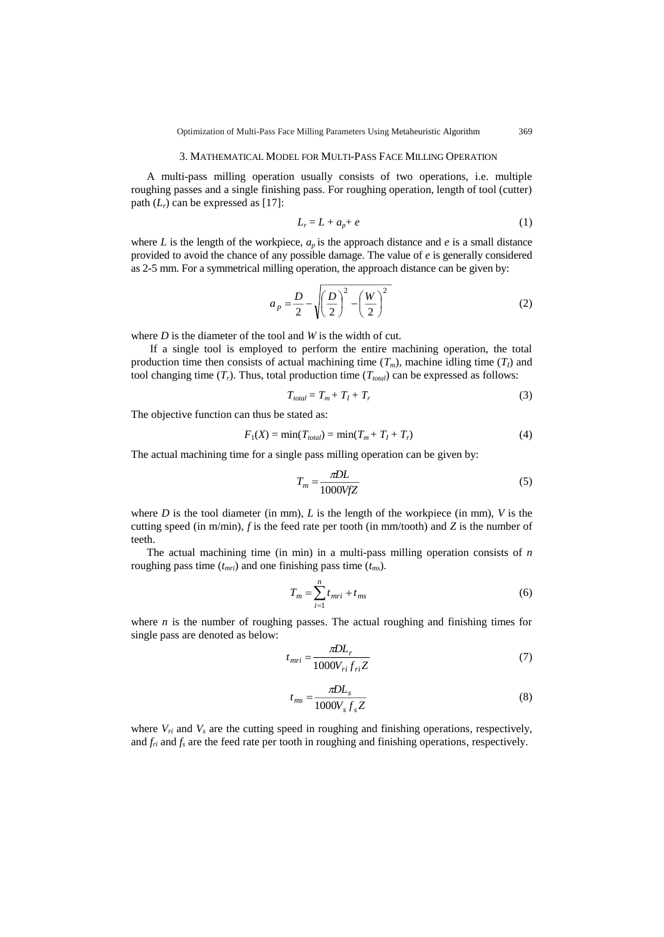### 3. MATHEMATICAL MODEL FOR MULTI-PASS FACE MILLING OPERATION

A multi-pass milling operation usually consists of two operations, i.e. multiple roughing passes and a single finishing pass. For roughing operation, length of tool (cutter) path  $(L_r)$  can be expressed as [17]:

$$
L_r = L + a_p + e \tag{1}
$$

where *L* is the length of the workpiece,  $a_p$  is the approach distance and *e* is a small distance provided to avoid the chance of any possible damage. The value of *e* is generally considered as 2-5 mm. For a symmetrical milling operation, the approach distance can be given by:

$$
a_p = \frac{D}{2} - \sqrt{\left(\frac{D}{2}\right)^2 - \left(\frac{W}{2}\right)^2} \tag{2}
$$

where *D* is the diameter of the tool and *W* is the width of cut.

If a single tool is employed to perform the entire machining operation, the total production time then consists of actual machining time  $(T_m)$ , machine idling time  $(T_I)$  and tool changing time  $(T_r)$ . Thus, total production time  $(T_{total})$  can be expressed as follows:

$$
T_{total} = T_m + T_I + T_r \tag{3}
$$

The objective function can thus be stated as:

$$
F_1(X) = \min(T_{total}) = \min(T_m + T_I + T_r)
$$
 (4)

The actual machining time for a single pass milling operation can be given by:

$$
T_m = \frac{\pi DL}{1000VfZ} \tag{5}
$$

where *D* is the tool diameter (in mm), *L* is the length of the workpiece (in mm), *V* is the cutting speed (in m/min), *f* is the feed rate per tooth (in mm/tooth) and *Z* is the number of teeth.

The actual machining time (in min) in a multi-pass milling operation consists of *n* roughing pass time (*tmri*) and one finishing pass time (*tms*).

$$
T_m = \sum_{i=1}^n t_{mri} + t_{ms} \tag{6}
$$

where  $n$  is the number of roughing passes. The actual roughing and finishing times for single pass are denoted as below:

$$
t_{mri} = \frac{\pi D L_r}{1000 V_{ri} f_{ri} Z}
$$
\n<sup>(7)</sup>

$$
t_{ms} = \frac{\pi D L_s}{1000 V_s f_s Z} \tag{8}
$$

where  $V_{ri}$  and  $V_s$  are the cutting speed in roughing and finishing operations, respectively, and  $f_i$  and  $f_s$  are the feed rate per tooth in roughing and finishing operations, respectively.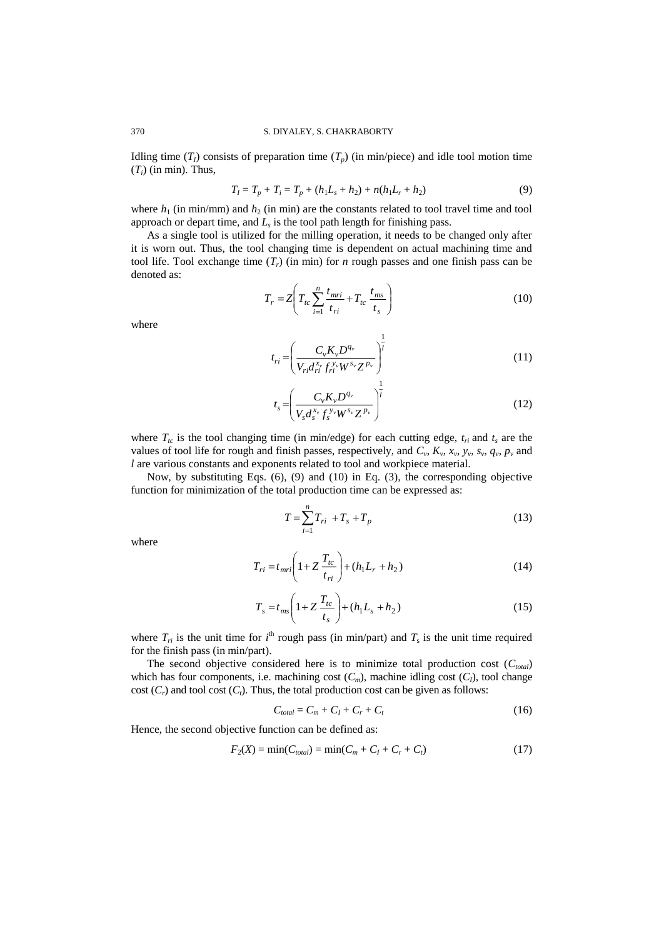Idling time  $(T<sub>I</sub>)$  consists of preparation time  $(T<sub>p</sub>)$  (in min/piece) and idle tool motion time  $(T_i)$  (in min). Thus,

$$
T_1 = T_p + T_i = T_p + (h_1 L_s + h_2) + n(h_1 L_r + h_2)
$$
\n(9)

where  $h_1$  (in min/mm) and  $h_2$  (in min) are the constants related to tool travel time and tool approach or depart time, and  $L<sub>s</sub>$  is the tool path length for finishing pass.

As a single tool is utilized for the milling operation, it needs to be changed only after it is worn out. Thus, the tool changing time is dependent on actual machining time and tool life. Tool exchange time  $(T_r)$  (in min) for *n* rough passes and one finish pass can be denoted as:

$$
T_r = Z \left( T_{tc} \sum_{i=1}^n \frac{t_{mri}}{t_{ri}} + T_{tc} \frac{t_{ms}}{t_s} \right)
$$
 (10)

where

$$
t_{ri} = \left(\frac{C_{\nu}K_{\nu}D^{q_{\nu}}}{V_{ri}d_{ri}^{x_{\nu}}f_{ri}^{y_{\nu}}W^{s_{\nu}}Z^{p_{\nu}}}\right)^{\frac{1}{l}}
$$
(11)

$$
t_s = \left(\frac{C_v K_v D^{q_v}}{V_s d_s^{x_v} f_s^{y_v} W^{s_v} Z^{p_v}}\right)^{\frac{1}{l}}
$$
(12)

where  $T_{tc}$  is the tool changing time (in min/edge) for each cutting edge,  $t_{ri}$  and  $t_s$  are the values of tool life for rough and finish passes, respectively, and  $C_v$ ,  $K_v$ ,  $x_v$ ,  $y_v$ ,  $s_v$ ,  $q_v$ ,  $p_v$  and *l* are various constants and exponents related to tool and workpiece material.

Now, by substituting Eqs. (6), (9) and (10) in Eq. (3), the corresponding objective function for minimization of the total production time can be expressed as:

$$
T = \sum_{i=1}^{n} T_{ri} + T_s + T_p \tag{13}
$$

where

$$
T_{ri} = t_{mri} \left( 1 + Z \frac{T_{tc}}{t_{ri}} \right) + (h_1 L_r + h_2)
$$
\n(14)

$$
T_s = t_{ms} \left( 1 + Z \frac{T_{tc}}{t_s} \right) + (h_1 L_s + h_2)
$$
 (15)

where  $T_{ri}$  is the unit time for  $i^{\text{th}}$  rough pass (in min/part) and  $T_s$  is the unit time required for the finish pass (in min/part).

The second objective considered here is to minimize total production cost  $(C_{total})$ which has four components, i.e. machining cost  $(C_m)$ , machine idling cost  $(C_l)$ , tool change cost  $(C_r)$  and tool cost  $(C_t)$ . Thus, the total production cost can be given as follows:

$$
C_{total} = C_m + C_I + C_r + C_t \tag{16}
$$

Hence, the second objective function can be defined as:

$$
F_2(X) = \min(C_{total}) = \min(C_m + C_I + C_r + C_t)
$$
\n(17)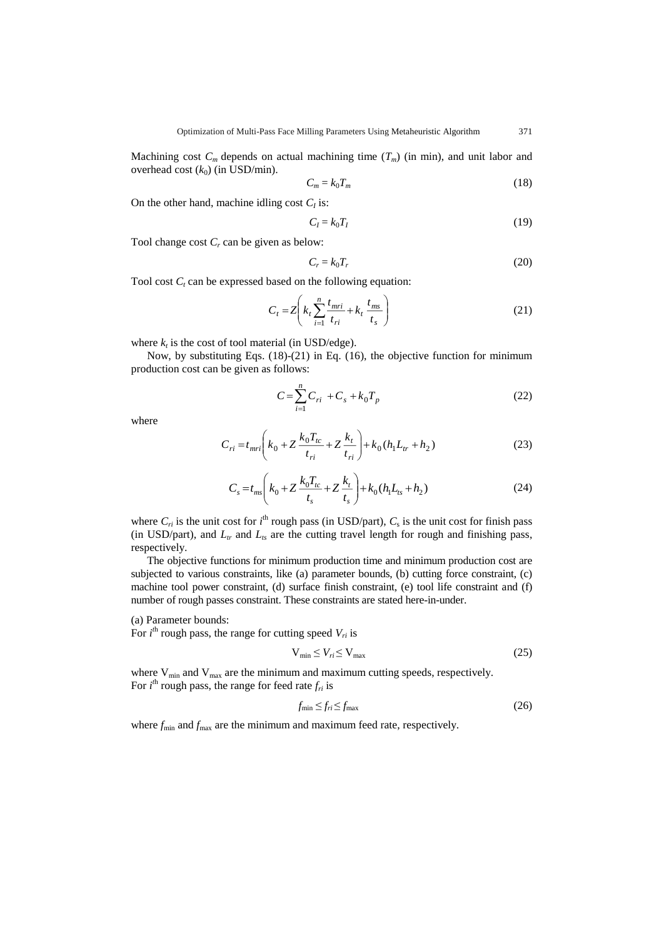Machining cost  $C_m$  depends on actual machining time  $(T_m)$  (in min), and unit labor and overhead cost  $(k_0)$  (in USD/min).

$$
C_m = k_0 T_m \tag{18}
$$

On the other hand, machine idling cost  $C_I$  is:

$$
C_I = k_0 T_I \tag{19}
$$

Tool change cost *C<sup>r</sup>* can be given as below:

$$
C_r = k_0 T_r \tag{20}
$$

Tool cost  $C_t$  can be expressed based on the following equation:

$$
C_t = Z\left(k_t \sum_{i=1}^n \frac{t_{mri}}{t_{ri}} + k_t \frac{t_{ms}}{t_s}\right)
$$
 (21)

where  $k_t$  is the cost of tool material (in USD/edge).

Now, by substituting Eqs. (18)-(21) in Eq. (16), the objective function for minimum production cost can be given as follows:

$$
C = \sum_{i=1}^{n} C_{ri} + C_s + k_0 T_p
$$
 (22)

where

$$
C_{ri} = t_{mri} \left( k_0 + Z \frac{k_0 T_{tc}}{t_{ri}} + Z \frac{k_t}{t_{ri}} \right) + k_0 (h_1 L_{tr} + h_2)
$$
 (23)

$$
C_s = t_{ms} \left( k_0 + Z \frac{k_0 T_{tc}}{t_s} + Z \frac{k_t}{t_s} \right) + k_0 (h_1 L_{ts} + h_2)
$$
 (24)

where  $C_{ri}$  is the unit cost for  $i^{\text{th}}$  rough pass (in USD/part),  $C_s$  is the unit cost for finish pass (in USD/part), and  $L_t$  and  $L_s$  are the cutting travel length for rough and finishing pass, respectively.

The objective functions for minimum production time and minimum production cost are subjected to various constraints, like (a) parameter bounds, (b) cutting force constraint, (c) machine tool power constraint, (d) surface finish constraint, (e) tool life constraint and (f) number of rough passes constraint. These constraints are stated here-in-under.

# (a) Parameter bounds:

For  $i<sup>th</sup>$  rough pass, the range for cutting speed  $V_{ri}$  is

$$
V_{\min} \le V_{ri} \le V_{\max} \tag{25}
$$

where  $V_{min}$  and  $V_{max}$  are the minimum and maximum cutting speeds, respectively. For  $i^{\text{th}}$  rough pass, the range for feed rate  $f_{ri}$  is

$$
f_{\min} \le f_{ri} \le f_{\max} \tag{26}
$$

where  $f_{\text{min}}$  and  $f_{\text{max}}$  are the minimum and maximum feed rate, respectively.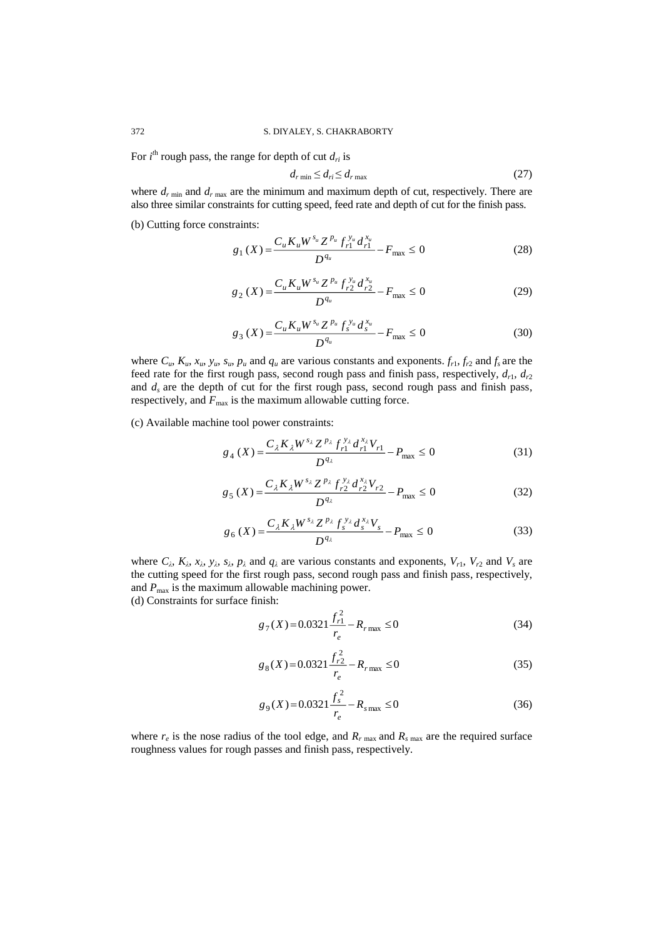For  $i<sup>th</sup>$  rough pass, the range for depth of cut  $d_{ri}$  is

$$
d_{r\min} \le d_{ri} \le d_{r\max} \tag{27}
$$

where  $d_{r \text{ min}}$  and  $d_{r \text{ max}}$  are the minimum and maximum depth of cut, respectively. There are also three similar constraints for cutting speed, feed rate and depth of cut for the finish pass.

(b) Cutting force constraints:

$$
g_1(X) = \frac{C_u K_u W^{s_u} Z^{p_u} f_{r1}^{s_u} d_{r1}^{x_u}}{D^{q_u}} - F_{\text{max}} \le 0
$$
 (28)

$$
g_2(X) = \frac{C_u K_u W^{s_u} Z^{p_u} f_{r2}^{y_u} d_{r2}^{x_u}}{D^{q_u}} - F_{\text{max}} \le 0
$$
 (29)

$$
g_3(X) = \frac{C_u K_u W^{s_u} Z^{p_u} f_s^{y_u} d_s^{x_u}}{D^{q_u}} - F_{\text{max}} \le 0
$$
 (30)

where  $C_u$ ,  $K_u$ ,  $x_u$ ,  $y_u$ ,  $s_u$ ,  $p_u$  and  $q_u$  are various constants and exponents.  $f_{r1}$ ,  $f_{r2}$  and  $f_s$  are the feed rate for the first rough pass, second rough pass and finish pass, respectively,  $d_{r1}$ ,  $d_{r2}$ and  $d_s$  are the depth of cut for the first rough pass, second rough pass and finish pass, respectively, and  $F_{\text{max}}$  is the maximum allowable cutting force.

(c) Available machine tool power constraints:

$$
g_4(X) = \frac{C_{\lambda} K_{\lambda} W^{s_{\lambda}} Z^{p_{\lambda}} f_{r1}^{y_{\lambda}} d_{r1}^{x_{\lambda}} V_{r1}}{D^{q_{\lambda}}} - P_{\text{max}} \le 0
$$
 (31)

$$
g_5(X) = \frac{C_{\lambda} K_{\lambda} W^{s_{\lambda}} Z^{p_{\lambda}} f_{r2}^{y_{\lambda}} d_{r2}^{x_{\lambda}} V_{r2}}{D^{q_{\lambda}}} - P_{\text{max}} \le 0
$$
 (32)

$$
g_6(X) = \frac{C_{\lambda} K_{\lambda} W^{s_{\lambda}} Z^{p_{\lambda}} f_{s}^{y_{\lambda}} d_{s}^{x_{\lambda}} V_{s}}{D^{q_{\lambda}}} - P_{\text{max}} \le 0
$$
 (33)

where  $C_{\lambda}$ ,  $K_{\lambda}$ ,  $x_{\lambda}$ ,  $y_{\lambda}$ ,  $s_{\lambda}$ ,  $p_{\lambda}$  and  $q_{\lambda}$  are various constants and exponents,  $V_{r1}$ ,  $V_{r2}$  and  $V_{s}$  are the cutting speed for the first rough pass, second rough pass and finish pass, respectively, and  $P_{\text{max}}$  is the maximum allowable machining power. (d) Constraints for surface finish:

$$
g_7(X) = 0.0321 \frac{f_{r1}^2}{r_e} - R_{r\text{max}} \le 0
$$
\n(34)

$$
g_8(X) = 0.0321 \frac{f_{r2}^2}{r_e} - R_{r\text{ max}} \le 0\tag{35}
$$

$$
g_9(X) = 0.0321 \frac{f_s^2}{r_e} - R_{s\text{max}} \le 0
$$
 (36)

where  $r_e$  is the nose radius of the tool edge, and  $R_r$ <sub>max</sub> and  $R_s$ <sub>max</sub> are the required surface roughness values for rough passes and finish pass, respectively.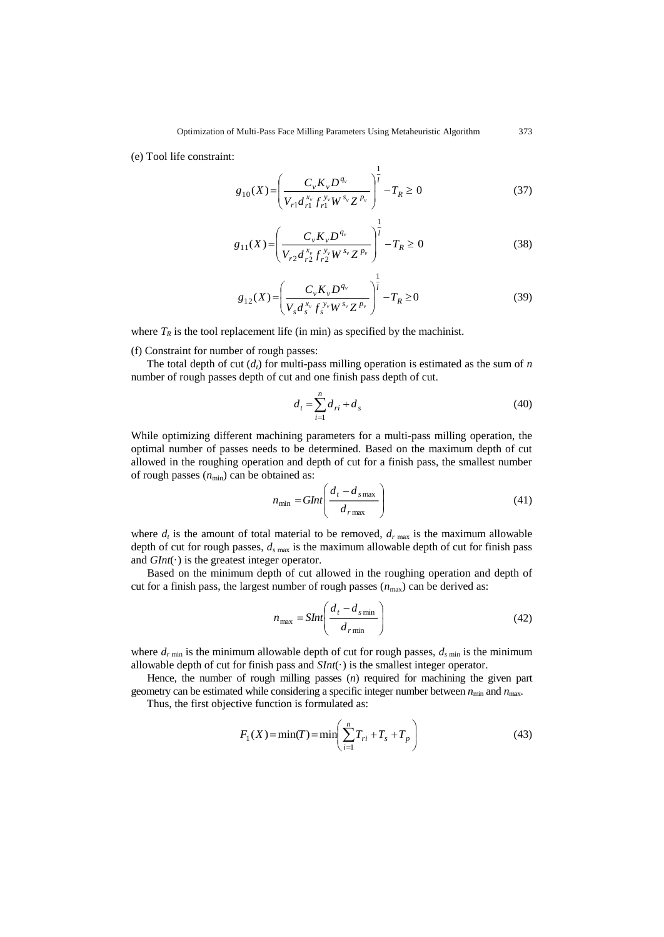(e) Tool life constraint:

$$
g_{10}(X) = \left(\frac{C_v K_v D^{q_v}}{V_{r1} d_{r1}^{x_v} f_{r1}^{y_v} W^{s_v} Z^{p_v}}\right)^{\frac{1}{l}} - T_R \ge 0
$$
\n(37)

$$
g_{11}(X) = \left(\frac{C_{\nu}K_{\nu}D^{q_{\nu}}}{V_{r2}d_{r2}^{x_{\nu}}f_{r2}^{y_{\nu}}W^{s_{\nu}}Z^{p_{\nu}}}\right)^{\frac{1}{l}} - T_{R} \ge 0
$$
\n(38)

$$
g_{12}(X) = \left(\frac{C_v K_v D^{q_v}}{V_s d_s^{x_v} f_s^{y_v} W^{s_v} Z^{p_v}}\right)^{\frac{1}{l}} - T_R \ge 0
$$
\n(39)

where  $T_R$  is the tool replacement life (in min) as specified by the machinist.

(f) Constraint for number of rough passes:

The total depth of cut  $(d_t)$  for multi-pass milling operation is estimated as the sum of *n* number of rough passes depth of cut and one finish pass depth of cut.

$$
d_t = \sum_{i=1}^{n} d_{ri} + d_s \tag{40}
$$

While optimizing different machining parameters for a multi-pass milling operation, the optimal number of passes needs to be determined. Based on the maximum depth of cut allowed in the roughing operation and depth of cut for a finish pass, the smallest number of rough passes  $(n_{min})$  can be obtained as:

$$
n_{\min} = GInt\left(\frac{d_t - d_{s\max}}{d_{r\max}}\right) \tag{41}
$$

where  $d_t$  is the amount of total material to be removed,  $d_{r \text{ max}}$  is the maximum allowable depth of cut for rough passes, *d<sup>s</sup>* max is the maximum allowable depth of cut for finish pass and  $GInt(\cdot)$  is the greatest integer operator.

Based on the minimum depth of cut allowed in the roughing operation and depth of cut for a finish pass, the largest number of rough passes  $(n_{\text{max}})$  can be derived as:

$$
n_{\text{max}} = \text{SInt}\left(\frac{d_t - d_{s\text{min}}}{d_{r\text{min}}}\right) \tag{42}
$$

where  $d_{r \text{min}}$  is the minimum allowable depth of cut for rough passes,  $d_{s \text{min}}$  is the minimum allowable depth of cut for finish pass and  $SInt(\cdot)$  is the smallest integer operator.

Hence, the number of rough milling passes (*n*) required for machining the given part geometry can be estimated while considering a specific integer number between  $n_{min}$  and  $n_{max}$ .

Thus, the first objective function is formulated as:

$$
F_1(X) = \min(T) = \min\left(\sum_{i=1}^n T_{ri} + T_s + T_p\right)
$$
\n(43)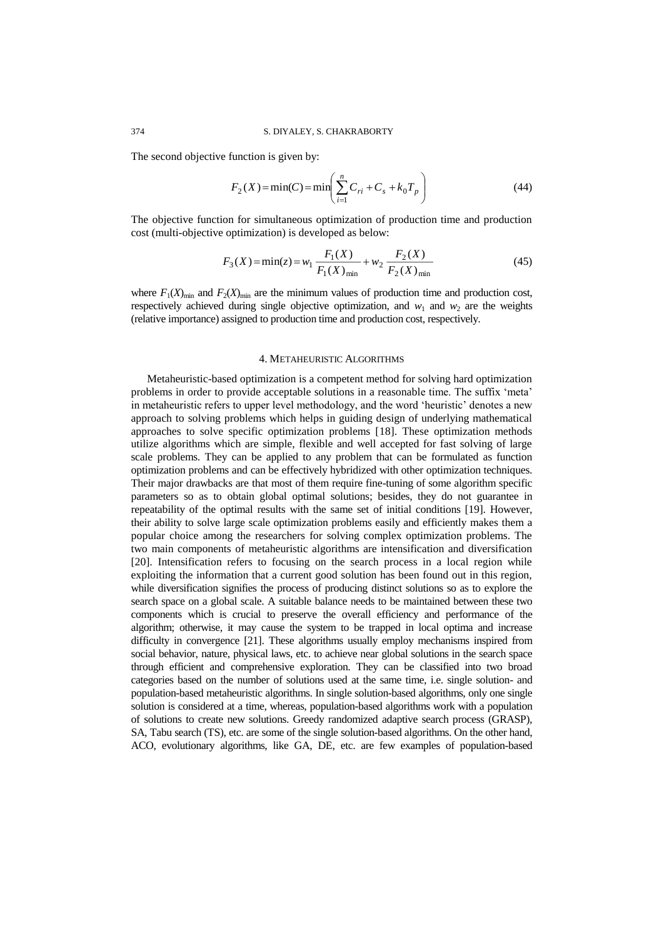The second objective function is given by:

$$
F_2(X) = \min(C) = \min\left(\sum_{i=1}^n C_{ri} + C_s + k_0 T_p\right)
$$
\n(44)

The objective function for simultaneous optimization of production time and production cost (multi-objective optimization) is developed as below:

$$
F_3(X) = \min(z) = w_1 \frac{F_1(X)}{F_1(X)_{\min}} + w_2 \frac{F_2(X)}{F_2(X)_{\min}}
$$
(45)

where  $F_1(X)_{\text{min}}$  and  $F_2(X)_{\text{min}}$  are the minimum values of production time and production cost, respectively achieved during single objective optimization, and  $w_1$  and  $w_2$  are the weights (relative importance) assigned to production time and production cost, respectively.

### 4. METAHEURISTIC ALGORITHMS

Metaheuristic-based optimization is a competent method for solving hard optimization problems in order to provide acceptable solutions in a reasonable time. The suffix 'meta' in metaheuristic refers to upper level methodology, and the word 'heuristic' denotes a new approach to solving problems which helps in guiding design of underlying mathematical approaches to solve specific optimization problems [18]. These optimization methods utilize algorithms which are simple, flexible and well accepted for fast solving of large scale problems. They can be applied to any problem that can be formulated as function optimization problems and can be effectively hybridized with other optimization techniques. Their major drawbacks are that most of them require fine-tuning of some algorithm specific parameters so as to obtain global optimal solutions; besides, they do not guarantee in repeatability of the optimal results with the same set of initial conditions [19]. However, their ability to solve large scale optimization problems easily and efficiently makes them a popular choice among the researchers for solving complex optimization problems. The two main components of metaheuristic algorithms are intensification and diversification [20]. Intensification refers to focusing on the search process in a local region while exploiting the information that a current good solution has been found out in this region, while diversification signifies the process of producing distinct solutions so as to explore the search space on a global scale. A suitable balance needs to be maintained between these two components which is crucial to preserve the overall efficiency and performance of the algorithm; otherwise, it may cause the system to be trapped in local optima and increase difficulty in convergence [21]. These algorithms usually employ mechanisms inspired from social behavior, nature, physical laws, etc. to achieve near global solutions in the search space through efficient and comprehensive exploration. They can be classified into two broad categories based on the number of solutions used at the same time, i.e. single solution- and population-based metaheuristic algorithms. In single solution-based algorithms, only one single solution is considered at a time, whereas, population-based algorithms work with a population of solutions to create new solutions. Greedy randomized adaptive search process (GRASP), SA, Tabu search (TS), etc. are some of the single solution-based algorithms. On the other hand, ACO, evolutionary algorithms, like GA, DE, etc. are few examples of population-based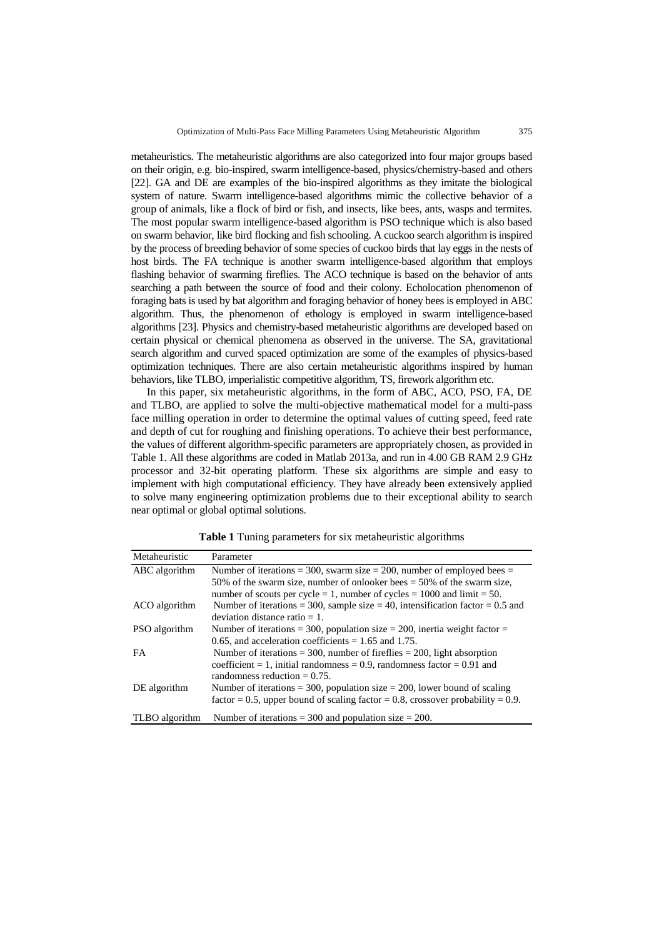metaheuristics. The metaheuristic algorithms are also categorized into four major groups based on their origin, e.g. bio-inspired, swarm intelligence-based, physics/chemistry-based and others [22]. GA and DE are examples of the bio-inspired algorithms as they imitate the biological system of nature. Swarm intelligence-based algorithms mimic the collective behavior of a group of animals, like a flock of bird or fish, and insects, like bees, ants, wasps and termites. The most popular swarm intelligence-based algorithm is PSO technique which is also based on swarm behavior, like bird flocking and fish schooling. A cuckoo search algorithm is inspired by the process of breeding behavior of some species of cuckoo birds that lay eggs in the nests of host birds. The FA technique is another swarm intelligence-based algorithm that employs flashing behavior of swarming fireflies. The ACO technique is based on the behavior of ants searching a path between the source of food and their colony. Echolocation phenomenon of foraging bats is used by bat algorithm and foraging behavior of honey bees is employed in ABC algorithm. Thus, the phenomenon of ethology is employed in swarm intelligence-based algorithms [23]. Physics and chemistry-based metaheuristic algorithms are developed based on certain physical or chemical phenomena as observed in the universe. The SA, gravitational search algorithm and curved spaced optimization are some of the examples of physics-based optimization techniques. There are also certain metaheuristic algorithms inspired by human behaviors, like TLBO, imperialistic competitive algorithm, TS, firework algorithm etc.

In this paper, six metaheuristic algorithms, in the form of ABC, ACO, PSO, FA, DE and TLBO, are applied to solve the multi-objective mathematical model for a multi-pass face milling operation in order to determine the optimal values of cutting speed, feed rate and depth of cut for roughing and finishing operations. To achieve their best performance, the values of different algorithm-specific parameters are appropriately chosen, as provided in Table 1. All these algorithms are coded in Matlab 2013a, and run in 4.00 GB RAM 2.9 GHz processor and 32-bit operating platform. These six algorithms are simple and easy to implement with high computational efficiency. They have already been extensively applied to solve many engineering optimization problems due to their exceptional ability to search near optimal or global optimal solutions.

| Metaheuristic  | Parameter                                                                        |
|----------------|----------------------------------------------------------------------------------|
| ABC algorithm  | Number of iterations = 300, swarm size = 200, number of employed bees =          |
|                | 50% of the swarm size, number of onlooker bees $=$ 50% of the swarm size,        |
|                | number of scouts per cycle = 1, number of cycles = $1000$ and limit = 50.        |
| ACO algorithm  | Number of iterations = 300, sample size = 40, intensification factor = $0.5$ and |
|                | deviation distance ratio $= 1$ .                                                 |
| PSO algorithm  | Number of iterations = 300, population size = 200, inertia weight factor =       |
|                | 0.65, and acceleration coefficients = $1.65$ and 1.75.                           |
| FA.            | Number of iterations = 300, number of fireflies = 200, light absorption          |
|                | coefficient = 1, initial randomness = $0.9$ , randomness factor = $0.91$ and     |
|                | randomness reduction $= 0.75$ .                                                  |
| DE algorithm   | Number of iterations = 300, population size = 200, lower bound of scaling        |
|                | factor = 0.5, upper bound of scaling factor = 0.8, crossover probability = 0.9.  |
| TLBO algorithm | Number of iterations = 300 and population size = 200.                            |

**Table 1** Tuning parameters for six metaheuristic algorithms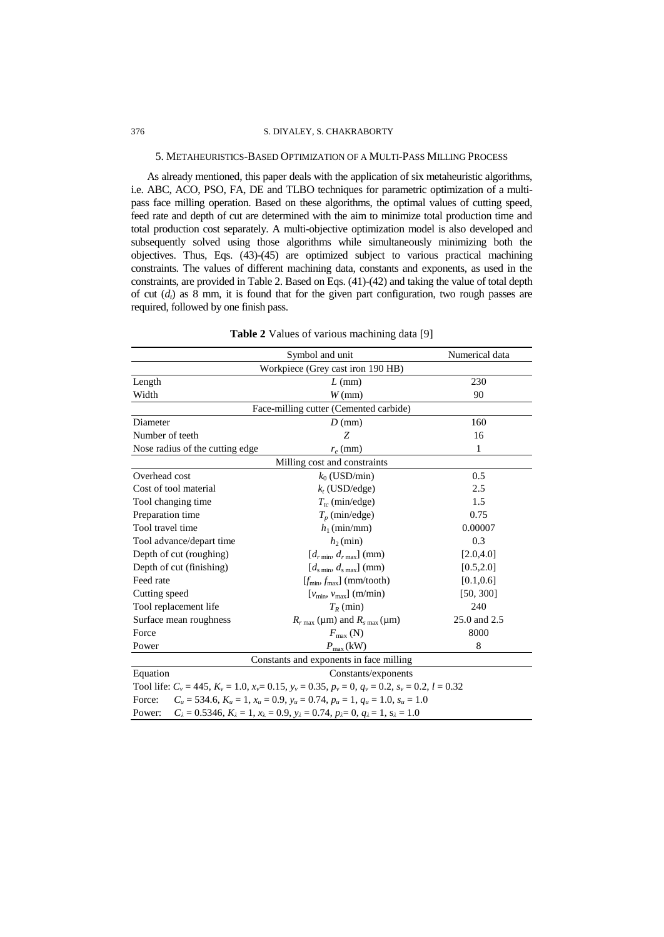### 376 S. DIYALEY, S. CHAKRABORTY

### 5. METAHEURISTICS-BASED OPTIMIZATION OF A MULTI-PASS MILLING PROCESS

As already mentioned, this paper deals with the application of six metaheuristic algorithms, i.e. ABC, ACO, PSO, FA, DE and TLBO techniques for parametric optimization of a multipass face milling operation. Based on these algorithms, the optimal values of cutting speed, feed rate and depth of cut are determined with the aim to minimize total production time and total production cost separately. A multi-objective optimization model is also developed and subsequently solved using those algorithms while simultaneously minimizing both the objectives. Thus, Eqs. (43)-(45) are optimized subject to various practical machining constraints. The values of different machining data, constants and exponents, as used in the constraints, are provided in Table 2. Based on Eqs. (41)-(42) and taking the value of total depth of cut  $(d_t)$  as 8 mm, it is found that for the given part configuration, two rough passes are required, followed by one finish pass.

|                                   | Symbol and unit                                                                                                                     | Numerical data |  |  |  |  |
|-----------------------------------|-------------------------------------------------------------------------------------------------------------------------------------|----------------|--|--|--|--|
| Workpiece (Grey cast iron 190 HB) |                                                                                                                                     |                |  |  |  |  |
| Length                            | $L$ (mm)                                                                                                                            | 230            |  |  |  |  |
| Width                             | $W$ (mm)                                                                                                                            | 90             |  |  |  |  |
|                                   | Face-milling cutter (Cemented carbide)                                                                                              |                |  |  |  |  |
| Diameter                          | $D$ (mm)                                                                                                                            | 160            |  |  |  |  |
| Number of teeth                   | Z                                                                                                                                   | 16             |  |  |  |  |
| Nose radius of the cutting edge   | $r_e$ (mm)                                                                                                                          | $\mathbf{1}$   |  |  |  |  |
|                                   | Milling cost and constraints                                                                                                        |                |  |  |  |  |
| Overhead cost                     | $k_0$ (USD/min)                                                                                                                     | 0.5            |  |  |  |  |
| Cost of tool material             | $k_{t}$ (USD/edge)                                                                                                                  | 2.5            |  |  |  |  |
| Tool changing time                | $T_{tc}$ (min/edge)                                                                                                                 | 1.5            |  |  |  |  |
| Preparation time                  | $T_p$ (min/edge)                                                                                                                    | 0.75           |  |  |  |  |
| Tool travel time                  | $h_1$ (min/mm)                                                                                                                      | 0.00007        |  |  |  |  |
| Tool advance/depart time          | $h_2$ (min)                                                                                                                         | 0.3            |  |  |  |  |
| Depth of cut (roughing)           | $[d_{r\min}, d_{r\max}]$ (mm)                                                                                                       | [2.0, 4.0]     |  |  |  |  |
| Depth of cut (finishing)          | $[d_{\text{s min}}, d_{\text{s max}}]$ (mm)                                                                                         | [0.5, 2.0]     |  |  |  |  |
| Feed rate                         | $[f_{\min}, f_{\max}]$ (mm/tooth)                                                                                                   | [0.1, 0.6]     |  |  |  |  |
| Cutting speed                     | $[v_{\min}, v_{\max}]$ (m/min)                                                                                                      | [50, 300]      |  |  |  |  |
| Tool replacement life             | $T_R$ (min)                                                                                                                         | 240            |  |  |  |  |
| Surface mean roughness            | $R_{r \max}$ (µm) and $R_{s \max}$ (µm)                                                                                             | 25.0 and 2.5   |  |  |  |  |
| Force                             | $F_{\text{max}}$ (N)                                                                                                                | 8000           |  |  |  |  |
| Power                             | $P_{\text{max}}\left(\text{kW}\right)$                                                                                              | 8              |  |  |  |  |
|                                   | Constants and exponents in face milling                                                                                             |                |  |  |  |  |
| Equation                          | Constants/exponents                                                                                                                 |                |  |  |  |  |
|                                   | Tool life: $C_v = 445$ , $K_v = 1.0$ , $x_v = 0.15$ , $y_v = 0.35$ , $p_v = 0$ , $q_v = 0.2$ , $s_v = 0.2$ , $l = 0.32$             |                |  |  |  |  |
| Force:                            | $C_u = 534.6, K_u = 1, x_u = 0.9, y_u = 0.74, p_u = 1, q_u = 1.0, s_u = 1.0$                                                        |                |  |  |  |  |
| Power:                            | $C_{\lambda} = 0.5346, K_{\lambda} = 1, x_{\lambda} = 0.9, y_{\lambda} = 0.74, p_{\lambda} = 0, q_{\lambda} = 1, s_{\lambda} = 1.0$ |                |  |  |  |  |

**Table 2** Values of various machining data [9]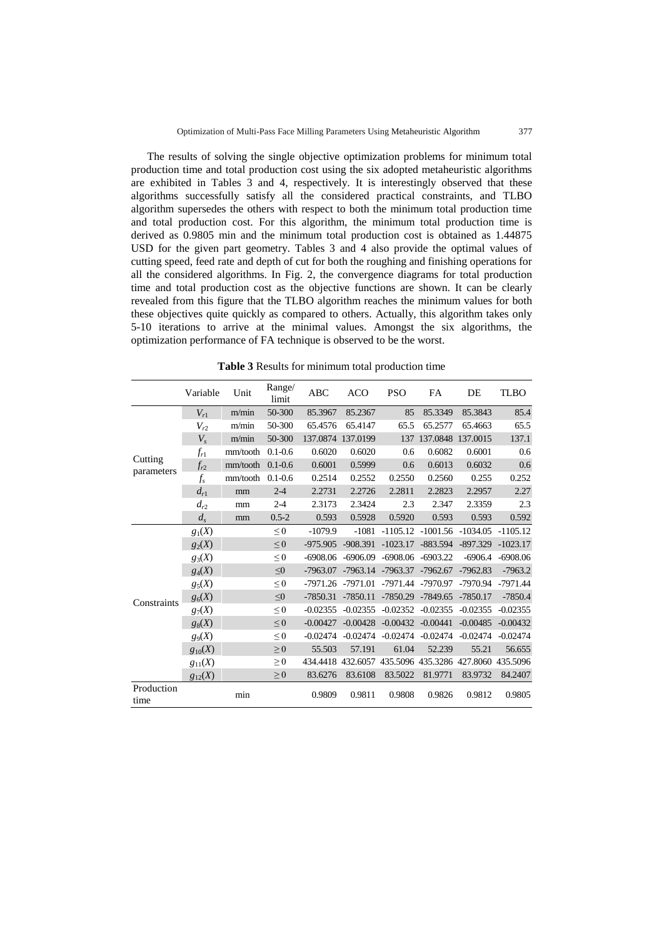The results of solving the single objective optimization problems for minimum total production time and total production cost using the six adopted metaheuristic algorithms are exhibited in Tables 3 and 4, respectively. It is interestingly observed that these algorithms successfully satisfy all the considered practical constraints, and TLBO algorithm supersedes the others with respect to both the minimum total production time and total production cost. For this algorithm, the minimum total production time is derived as 0.9805 min and the minimum total production cost is obtained as 1.44875 USD for the given part geometry. Tables 3 and 4 also provide the optimal values of cutting speed, feed rate and depth of cut for both the roughing and finishing operations for all the considered algorithms. In Fig. 2, the convergence diagrams for total production time and total production cost as the objective functions are shown. It can be clearly revealed from this figure that the TLBO algorithm reaches the minimum values for both these objectives quite quickly as compared to others. Actually, this algorithm takes only 5-10 iterations to arrive at the minimal values. Amongst the six algorithms, the optimization performance of FA technique is observed to be the worst.

**Table 3** Results for minimum total production time

|                       | Variable    | Unit     | Range/<br>limit | ABC        | <b>ACO</b>        | <b>PSO</b> | FA         | DE                                                    | <b>TLBO</b> |
|-----------------------|-------------|----------|-----------------|------------|-------------------|------------|------------|-------------------------------------------------------|-------------|
|                       | $V_{r1}$    | m/min    | 50-300          | 85.3967    | 85.2367           | 85         | 85.3349    | 85.3843                                               | 85.4        |
|                       | $V_{r2}$    | m/min    | 50-300          | 65.4576    | 65.4147           | 65.5       | 65.2577    | 65.4663                                               | 65.5        |
|                       | $V_{s}$     | m/min    | 50-300          |            | 137.0874 137.0199 | 137        | 137.0848   | 137.0015                                              | 137.1       |
|                       | $f_{r1}$    | mm/tooth | $0.1 - 0.6$     | 0.6020     | 0.6020            | 0.6        | 0.6082     | 0.6001                                                | 0.6         |
| Cutting<br>parameters | $f_{r2}$    | mm/tooth | $0.1 - 0.6$     | 0.6001     | 0.5999            | 0.6        | 0.6013     | 0.6032                                                | 0.6         |
|                       | $f_s$       | mm/tooth | $0.1 - 0.6$     | 0.2514     | 0.2552            | 0.2550     | 0.2560     | 0.255                                                 | 0.252       |
|                       | $d_{r1}$    | mm       | $2 - 4$         | 2.2731     | 2.2726            | 2.2811     | 2.2823     | 2.2957                                                | 2.27        |
|                       | $d_{r2}$    | mm       | $2 - 4$         | 2.3173     | 2.3424            | 2.3        | 2.347      | 2.3359                                                | 2.3         |
|                       | $d_s$       | mm       | $0.5 - 2$       | 0.593      | 0.5928            | 0.5920     | 0.593      | 0.593                                                 | 0.592       |
|                       | $g_1(X)$    |          | $\leq 0$        | $-1079.9$  | $-1081$           | $-1105.12$ | $-1001.56$ | $-1034.05$                                            | $-1105.12$  |
|                       | $g_2(X)$    |          | $\leq 0$        | $-975.905$ | $-908.391$        | $-1023.17$ | $-883.594$ | $-897.329$                                            | $-1023.17$  |
|                       | $g_3(X)$    |          | $\leq 0$        | $-6908.06$ | $-6906.09$        | $-6908.06$ | $-6903.22$ | $-6906.4$                                             | $-6908.06$  |
|                       | $g_4(X)$    |          | $\leq 0$        | $-7963.07$ | $-7963.14$        | $-7963.37$ | $-7962.67$ | $-7962.83$                                            | $-7963.2$   |
|                       | $g_5(X)$    |          | $\leq 0$        | $-7971.26$ | $-7971.01$        | $-7971.44$ | $-7970.97$ | $-7970.94$                                            | $-7971.44$  |
| Constraints           | $g_6(X)$    |          | $\leq 0$        | $-7850.31$ | $-7850.11$        | $-7850.29$ | $-7849.65$ | $-7850.17$                                            | $-7850.4$   |
|                       | $g_7(X)$    |          | $\leq 0$        | $-0.02355$ | $-0.02355$        | $-0.02352$ | $-0.02355$ | $-0.02355$                                            | $-0.02355$  |
|                       | $g_8(X)$    |          | $\leq 0$        | $-0.00427$ | $-0.00428$        | $-0.00432$ | $-0.00441$ | $-0.00485$                                            | $-0.00432$  |
|                       | $g_9(X)$    |          | $\leq 0$        | $-0.02474$ | $-0.02474$        | $-0.02474$ | $-0.02474$ | $-0.02474$                                            | $-0.02474$  |
|                       | $g_{10}(X)$ |          | $\geq 0$        | 55.503     | 57.191            | 61.04      | 52.239     | 55.21                                                 | 56.655      |
|                       | $g_{11}(X)$ |          | $\geq 0$        |            |                   |            |            | 434.4418 432.6057 435.5096 435.3286 427.8060 435.5096 |             |
|                       | $g_{12}(X)$ |          | $\geq 0$        | 83.6276    | 83.6108           | 83.5022    | 81.9771    | 83.9732                                               | 84.2407     |
| Production<br>time    |             | min      |                 | 0.9809     | 0.9811            | 0.9808     | 0.9826     | 0.9812                                                | 0.9805      |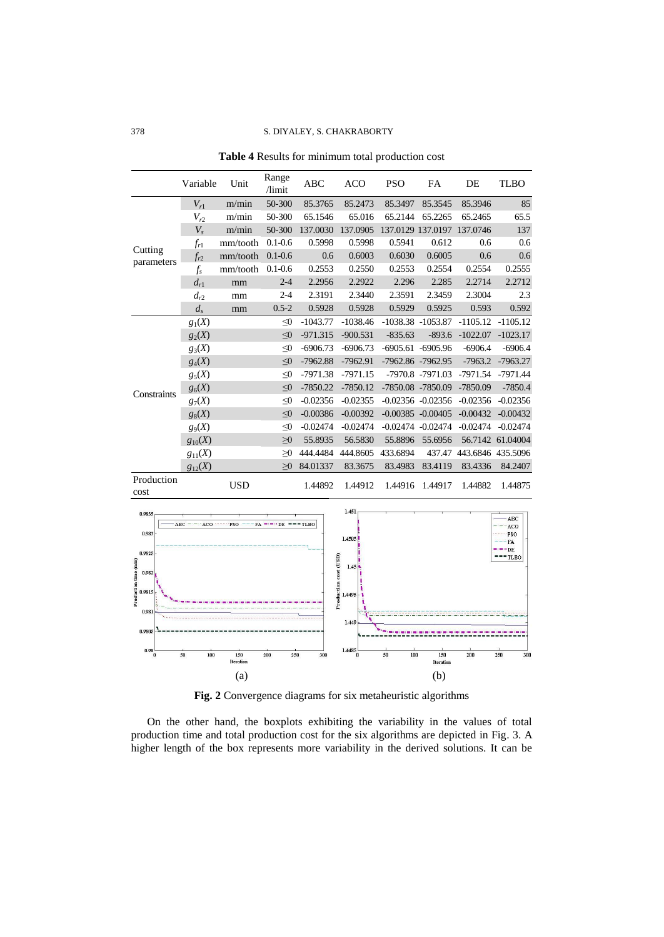|                       | Variable    | Unit       | Range<br>/limit | <b>ABC</b> | <b>ACO</b> | <b>PSO</b> | FA                    | DE                | <b>TLBO</b>      |
|-----------------------|-------------|------------|-----------------|------------|------------|------------|-----------------------|-------------------|------------------|
|                       | $V_{r1}$    | m/min      | 50-300          | 85.3765    | 85.2473    | 85.3497    | 85.3545               | 85.3946           | 85               |
|                       | $V_{r2}$    | m/min      | 50-300          | 65.1546    | 65.016     | 65.2144    | 65.2265               | 65.2465           | 65.5             |
|                       | $V_{s}$     | m/min      | 50-300          | 137.0030   | 137.0905   |            | 137.0129 137.0197     | 137.0746          | 137              |
|                       | $f_{r1}$    | mm/tooth   | $0.1 - 0.6$     | 0.5998     | 0.5998     | 0.5941     | 0.612                 | 0.6               | 0.6              |
| Cutting<br>parameters | $f_{r2}$    | mm/tooth   | $0.1 - 0.6$     | 0.6        | 0.6003     | 0.6030     | 0.6005                | 0.6               | 0.6              |
|                       | $f_s$       | mm/tooth   | $0.1 - 0.6$     | 0.2553     | 0.2550     | 0.2553     | 0.2554                | 0.2554            | 0.2555           |
|                       | $d_{r1}$    | mm         | $2 - 4$         | 2.2956     | 2.2922     | 2.296      | 2.285                 | 2.2714            | 2.2712           |
|                       | $d_{r2}$    | mm         | $2 - 4$         | 2.3191     | 2.3440     | 2.3591     | 2.3459                | 2.3004            | 2.3              |
|                       | $d_s$       | mm         | $0.5 - 2$       | 0.5928     | 0.5928     | 0.5929     | 0.5925                | 0.593             | 0.592            |
|                       | $g_1(X)$    |            | $\leq 0$        | $-1043.77$ | $-1038.46$ |            | -1038.38 -1053.87     | $-1105.12$        | $-1105.12$       |
|                       | $g_2(X)$    |            | $\leq 0$        | $-971.315$ | $-900.531$ | $-835.63$  | $-893.6$              | $-1022.07$        | $-1023.17$       |
|                       | $g_3(X)$    |            | $\leq 0$        | $-6906.73$ | $-6906.73$ |            | $-6905.61 - 6905.96$  | $-6906.4$         | $-6906.4$        |
|                       | $g_4(X)$    |            | $\leq 0$        | $-7962.88$ | $-7962.91$ |            | -7962.86 -7962.95     | $-7963.2$         | $-7963.27$       |
|                       | $g_5(X)$    |            | $\leq 0$        | $-7971.38$ | $-7971.15$ |            | -7970.8 -7971.03      | $-7971.54$        | $-7971.44$       |
| Constraints           | $g_6(X)$    |            | $\leq 0$        | $-7850.22$ | $-7850.12$ |            | -7850.08 -7850.09     | $-7850.09$        | $-7850.4$        |
|                       | $g_7(X)$    |            | $\leq 0$        | $-0.02356$ | $-0.02355$ |            | $-0.02356 - 0.02356$  | $-0.02356$        | $-0.02356$       |
|                       | $g_8(X)$    |            | $\leq 0$        | $-0.00386$ | $-0.00392$ |            | $-0.00385 - 0.00405$  | $-0.00432$        | $-0.00432$       |
|                       | $g_9(X)$    |            | $\leq 0$        | $-0.02474$ | $-0.02474$ |            | $-0.02474$ $-0.02474$ | $-0.02474$        | $-0.02474$       |
|                       | $g_{10}(X)$ |            | $\geq 0$        | 55.8935    | 56.5830    | 55.8896    | 55.6956               |                   | 56.7142 61.04004 |
|                       | $g_{11}(X)$ |            | $\geq 0$        | 444.4484   | 444.8605   | 433.6894   | 437.47                | 443.6846 435.5096 |                  |
|                       | $g_{12}(X)$ |            | >0              | 84.01337   | 83.3675    | 83.4983    | 83.4119               | 83.4336           | 84.2407          |
| Production<br>cost    |             | <b>USD</b> |                 | 1.44892    | 1.44912    | 1.44916    | 1.44917               | 1.44882           | 1.44875          |

**Table 4** Results for minimum total production cost



**Fig. 2** Convergence diagrams for six metaheuristic algorithms

On the other hand, the boxplots exhibiting the variability in the values of total production time and total production cost for the six algorithms are depicted in Fig. 3. A higher length of the box represents more variability in the derived solutions. It can be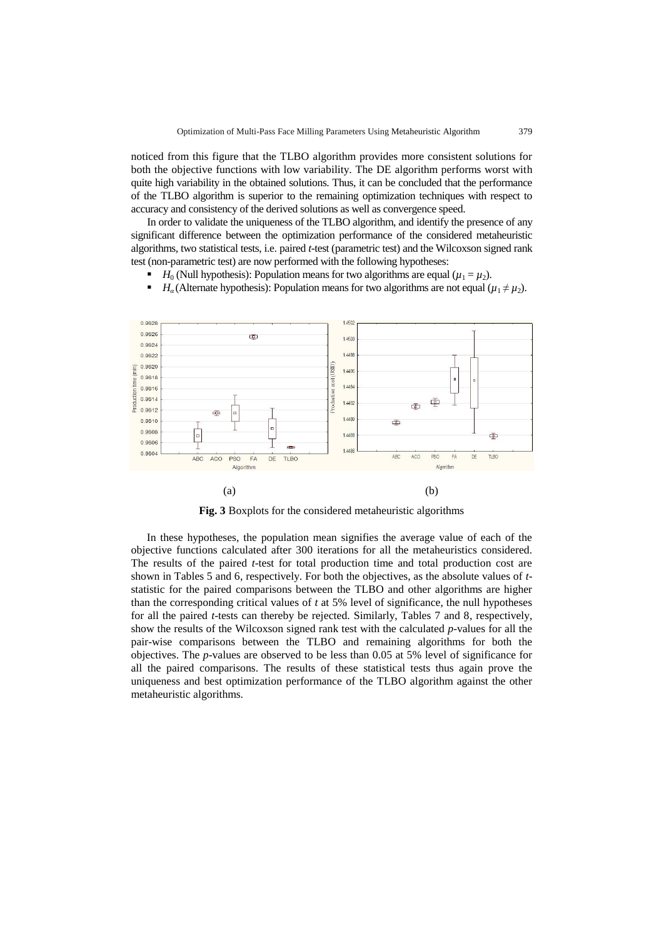noticed from this figure that the TLBO algorithm provides more consistent solutions for both the objective functions with low variability. The DE algorithm performs worst with quite high variability in the obtained solutions. Thus, it can be concluded that the performance of the TLBO algorithm is superior to the remaining optimization techniques with respect to accuracy and consistency of the derived solutions as well as convergence speed.

In order to validate the uniqueness of the TLBO algorithm, and identify the presence of any significant difference between the optimization performance of the considered metaheuristic algorithms, two statistical tests, i.e. paired *t*-test (parametric test) and the Wilcoxson signed rank test (non-parametric test) are now performed with the following hypotheses:

- *H*<sub>0</sub> (Null hypothesis): Population means for two algorithms are equal ( $\mu_1 = \mu_2$ ).
- *H<sub>a</sub>* (Alternate hypothesis): Population means for two algorithms are not equal  $(\mu_1 \neq \mu_2)$ .



**Fig. 3** Boxplots for the considered metaheuristic algorithms

In these hypotheses, the population mean signifies the average value of each of the objective functions calculated after 300 iterations for all the metaheuristics considered. The results of the paired *t*-test for total production time and total production cost are shown in Tables 5 and 6, respectively. For both the objectives, as the absolute values of *t*statistic for the paired comparisons between the TLBO and other algorithms are higher than the corresponding critical values of *t* at 5% level of significance, the null hypotheses for all the paired *t*-tests can thereby be rejected. Similarly, Tables 7 and 8, respectively, show the results of the Wilcoxson signed rank test with the calculated *p*-values for all the pair-wise comparisons between the TLBO and remaining algorithms for both the objectives. The *p*-values are observed to be less than 0.05 at 5% level of significance for all the paired comparisons. The results of these statistical tests thus again prove the uniqueness and best optimization performance of the TLBO algorithm against the other metaheuristic algorithms.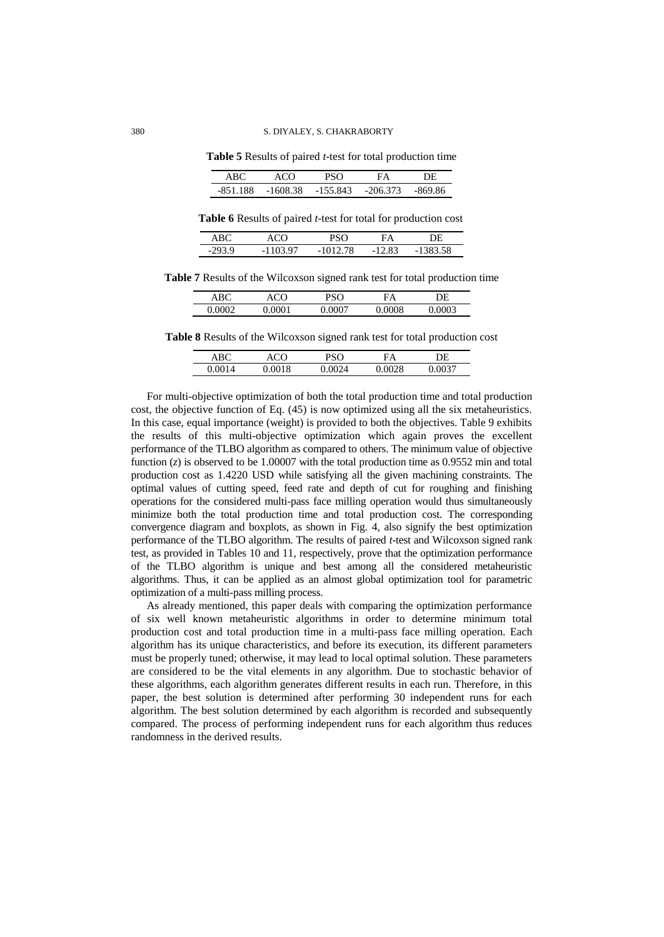**Table 5** Results of paired *t*-test for total production time

| A RO     | ላርስ      |            | FΔ         | םר      |
|----------|----------|------------|------------|---------|
| -851 188 | -1608.38 | $-155.843$ | $-206,373$ | -869 86 |

 **Table 6** Results of paired *t*-test for total for production cost

| ABC   | ላ ር ነገ                           |         | FΔ    |       |
|-------|----------------------------------|---------|-------|-------|
| ാറാ വ | 3 Q7<br>$\overline{\phantom{a}}$ | 1012.78 | 12.83 | 8 5 R |

**Table 7** Results of the Wilcoxson signed rank test for total production time

| ARC    |         | ∩פת | FA   | DE                  |
|--------|---------|-----|------|---------------------|
| 0.0002 | м<br>vι | v   | 0008 | 003<br>$\cdot$<br>ິ |

**Table 8** Results of the Wilcoxson signed rank test for total production cost

| $\triangle$ R $\Gamma$ | ഹറ | ∩סס                       | FΑ      | DF.        |  |
|------------------------|----|---------------------------|---------|------------|--|
| $0.00\%$<br>14         | 18 | 12 A<br>$^{\prime\prime}$ | 28<br>м | በ27<br>v.v |  |

For multi-objective optimization of both the total production time and total production cost, the objective function of Eq. (45) is now optimized using all the six metaheuristics. In this case, equal importance (weight) is provided to both the objectives. Table 9 exhibits the results of this multi-objective optimization which again proves the excellent performance of the TLBO algorithm as compared to others. The minimum value of objective function  $(z)$  is observed to be 1.00007 with the total production time as 0.9552 min and total production cost as 1.4220 USD while satisfying all the given machining constraints. The optimal values of cutting speed, feed rate and depth of cut for roughing and finishing operations for the considered multi-pass face milling operation would thus simultaneously minimize both the total production time and total production cost. The corresponding convergence diagram and boxplots, as shown in Fig. 4, also signify the best optimization performance of the TLBO algorithm. The results of paired *t*-test and Wilcoxson signed rank test, as provided in Tables 10 and 11, respectively, prove that the optimization performance of the TLBO algorithm is unique and best among all the considered metaheuristic algorithms. Thus, it can be applied as an almost global optimization tool for parametric optimization of a multi-pass milling process.

As already mentioned, this paper deals with comparing the optimization performance of six well known metaheuristic algorithms in order to determine minimum total production cost and total production time in a multi-pass face milling operation. Each algorithm has its unique characteristics, and before its execution, its different parameters must be properly tuned; otherwise, it may lead to local optimal solution. These parameters are considered to be the vital elements in any algorithm. Due to stochastic behavior of these algorithms, each algorithm generates different results in each run. Therefore, in this paper, the best solution is determined after performing 30 independent runs for each algorithm. The best solution determined by each algorithm is recorded and subsequently compared. The process of performing independent runs for each algorithm thus reduces randomness in the derived results.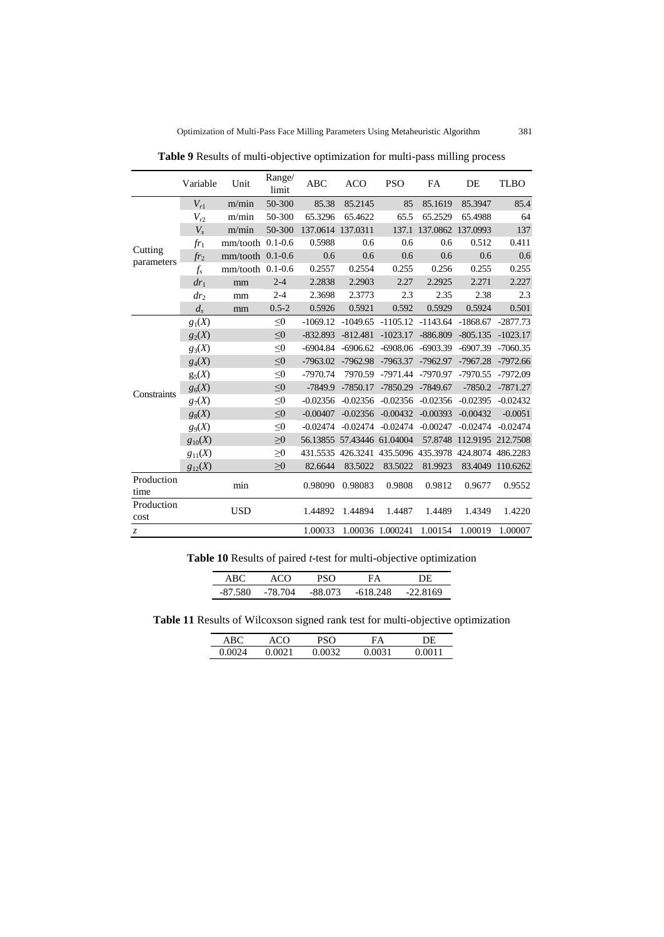|                       | Variable        | Unit               | Range/<br>limit | <b>ABC</b> | <b>ACO</b>        | <b>PSO</b>                                            | FA         | DE                | <b>TLBO</b> |
|-----------------------|-----------------|--------------------|-----------------|------------|-------------------|-------------------------------------------------------|------------|-------------------|-------------|
|                       | $V_{r1}$        | m/min              | 50-300          | 85.38      | 85.2145           | 85                                                    | 85.1619    | 85.3947           | 85.4        |
|                       | $V_{r2}$        | m/min              | 50-300          | 65.3296    | 65.4622           | 65.5                                                  | 65.2529    | 65.4988           | 64          |
|                       | $V_{s}$         | m/min              | 50-300          | 137.0614   | 137.0311          | 137.1                                                 |            | 137.0862 137.0993 | 137         |
|                       | $fr_1$          | $mm/tooth$ 0.1-0.6 |                 | 0.5988     | 0.6               | 0.6                                                   | 0.6        | 0.512             | 0.411       |
| Cutting<br>parameters | $fr_2$          | $mm/tooth$ 0.1-0.6 |                 | 0.6        | 0.6               | 0.6                                                   | 0.6        | 0.6               | 0.6         |
|                       | $f_{s}$         | $mm/tooth$ 0.1-0.6 |                 | 0.2557     | 0.2554            | 0.255                                                 | 0.256      | 0.255             | 0.255       |
|                       | $dr_1$          | mm                 | $2 - 4$         | 2.2838     | 2.2903            | 2.27                                                  | 2.2925     | 2.271             | 2.227       |
|                       | dr <sub>2</sub> | mm                 | $2 - 4$         | 2.3698     | 2.3773            | 2.3                                                   | 2.35       | 2.38              | 2.3         |
|                       | $d_{s}$         | mm                 | $0.5 - 2$       | 0.5926     | 0.5921            | 0.592                                                 | 0.5929     | 0.5924            | 0.501       |
|                       | $g_1(X)$        |                    | $\leq 0$        | $-1069.12$ |                   | $-1049.65$ $-1105.12$                                 | $-1143.64$ | $-1868.67$        | $-2877.73$  |
|                       | $g_2(X)$        |                    | $\leq 0$        | $-832.893$ | $-812.481$        | $-1023.17$                                            | $-886.809$ | $-805.135$        | $-1023.17$  |
|                       | $g_3(X)$        |                    | $\leq 0$        | $-6904.84$ | $-6906.62$        | $-6908.06$                                            | $-6903.39$ | $-6907.39$        | $-7060.35$  |
|                       | $g_4(X)$        |                    | $\leq 0$        | $-7963.02$ | $-7962.98$        | $-7963.37$                                            | $-7962.97$ | $-7967.28$        | $-7972.66$  |
|                       | $g_5(X)$        |                    | $\leq 0$        | $-7970.74$ | 7970.59           | $-7971.44$                                            | $-7970.97$ | $-7970.55$        | $-7972.09$  |
| Constraints           | $g_6(X)$        |                    | $\leq 0$        | $-7849.9$  | $-7850.17$        | $-7850.29$                                            | $-7849.67$ | $-7850.2$         | $-7871.27$  |
|                       | $g_7(X)$        |                    | $\leq 0$        | $-0.02356$ | $-0.02356$        | $-0.02356$                                            | $-0.02356$ | $-0.02395$        | $-0.02432$  |
|                       | $g_8(X)$        |                    | $\leq 0$        | $-0.00407$ | $-0.02356$        | $-0.00432$                                            | $-0.00393$ | $-0.00432$        | $-0.0051$   |
|                       | $g_9(X)$        |                    | $\leq 0$        | $-0.02474$ | $-0.02474$        | $-0.02474$                                            | $-0.00247$ | $-0.02474$        | $-0.02474$  |
|                       | $g_{10}(X)$     |                    | $\geq 0$        | 56.13855   | 57.43446 61.04004 |                                                       | 57.8748    | 112.9195 212.7508 |             |
|                       | $g_{11}(X)$     |                    | $\geq 0$        |            |                   | 431.5535 426.3241 435.5096 435.3978 424.8074 486.2283 |            |                   |             |
|                       | $g_{12}(X)$     |                    | $\geq 0$        | 82.6644    | 83.5022           | 83.5022                                               | 81.9923    | 83.4049           | 110.6262    |
| Production<br>time    |                 | min                |                 | 0.98090    | 0.98083           | 0.9808                                                | 0.9812     | 0.9677            | 0.9552      |
| Production<br>cost    |                 | <b>USD</b>         |                 | 1.44892    | 1.44894           | 1.4487                                                | 1.4489     | 1.4349            | 1.4220      |
| $\mathcal{Z}$         |                 |                    |                 | 1.00033    |                   | 1.00036 1.000241                                      | 1.00154    | 1.00019           | 1.00007     |

**Table 9** Results of multi-objective optimization for multi-pass milling process

| A RO         |      |         | ۰Δ      |    |
|--------------|------|---------|---------|----|
| 80<br>-87.53 | -781 | .88 073 | 618.248 | 60 |

**Table 11** Results of Wilcoxson signed rank test for multi-objective optimization

| ABC  | ላርህ  | חצי  | FА   | ЭF       |
|------|------|------|------|----------|
| 0.OC | 0021 | າດຊາ | )031 | ነ11<br>M |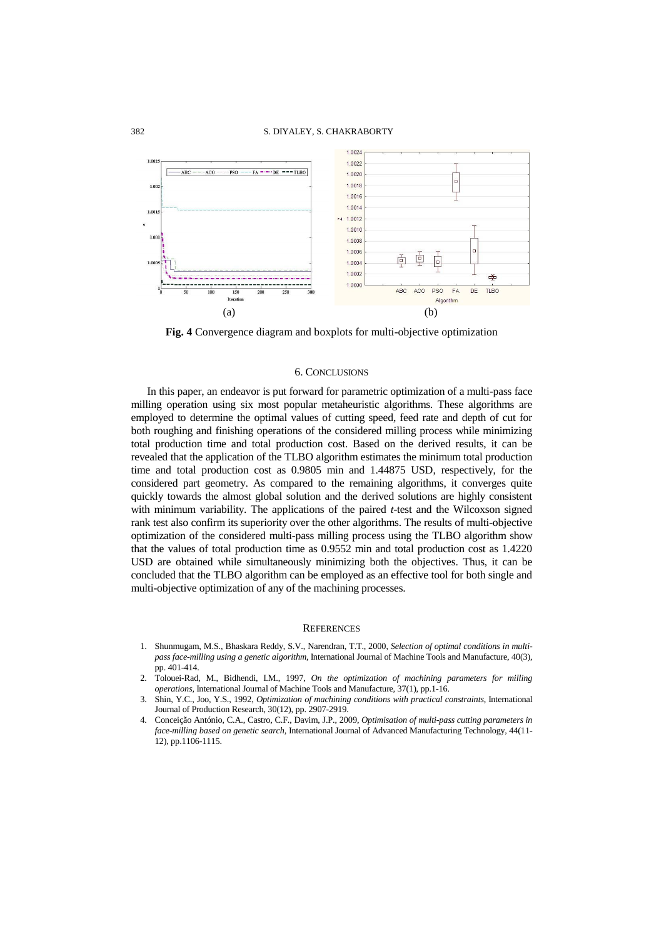

**Fig. 4** Convergence diagram and boxplots for multi-objective optimization

## 6. CONCLUSIONS

In this paper, an endeavor is put forward for parametric optimization of a multi-pass face milling operation using six most popular metaheuristic algorithms. These algorithms are employed to determine the optimal values of cutting speed, feed rate and depth of cut for both roughing and finishing operations of the considered milling process while minimizing total production time and total production cost. Based on the derived results, it can be revealed that the application of the TLBO algorithm estimates the minimum total production time and total production cost as 0.9805 min and 1.44875 USD, respectively, for the considered part geometry. As compared to the remaining algorithms, it converges quite quickly towards the almost global solution and the derived solutions are highly consistent with minimum variability. The applications of the paired *t*-test and the Wilcoxson signed rank test also confirm its superiority over the other algorithms. The results of multi-objective optimization of the considered multi-pass milling process using the TLBO algorithm show that the values of total production time as 0.9552 min and total production cost as 1.4220 USD are obtained while simultaneously minimizing both the objectives. Thus, it can be concluded that the TLBO algorithm can be employed as an effective tool for both single and multi-objective optimization of any of the machining processes.

### **REFERENCES**

- 1. Shunmugam, M.S., Bhaskara Reddy, S.V., Narendran, T.T., 2000, *Selection of optimal conditions in multipass face-milling using a genetic algorithm*, International Journal of Machine Tools and Manufacture, 40(3), pp. 401-414.
- 2. Tolouei-Rad, M., Bidhendi, I.M., 1997, *On the optimization of machining parameters for milling operations*, International Journal of Machine Tools and Manufacture, 37(1), pp.1-16.
- 3. Shin, Y.C., Joo, Y.S., 1992, *Optimization of machining conditions with practical constraints*, International Journal of Production Research, 30(12), pp. 2907-2919.
- 4. Conceição António, C.A., Castro, C.F., Davim, J.P., 2009, *Optimisation of multi-pass cutting parameters in face-milling based on genetic search*, International Journal of Advanced Manufacturing Technology, 44(11- 12), pp.1106-1115.